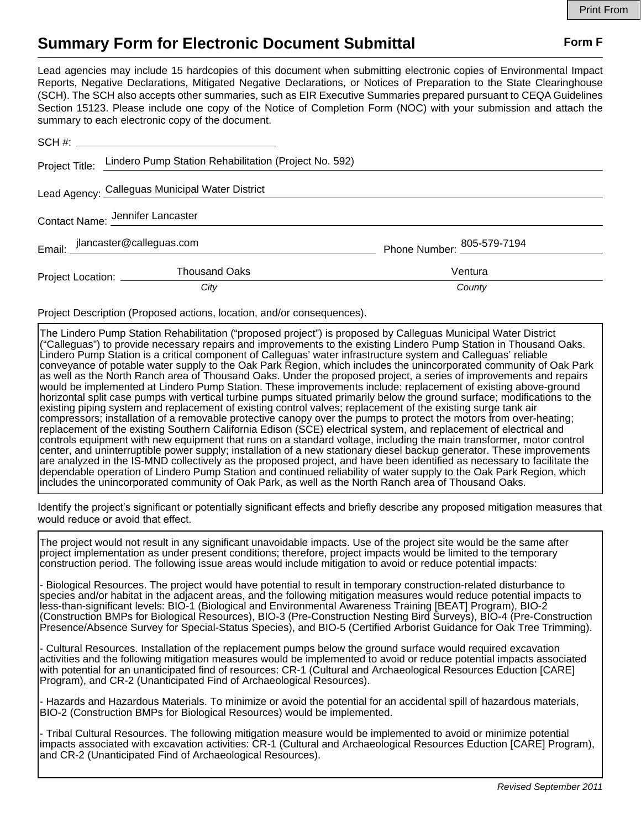## **Summary Form for Electronic Document Submittal Form F Form F**

Lead agencies may include 15 hardcopies of this document when submitting electronic copies of Environmental Impact Reports, Negative Declarations, Mitigated Negative Declarations, or Notices of Preparation to the State Clearinghouse (SCH). The SCH also accepts other summaries, such as EIR Executive Summaries prepared pursuant to CEQA Guidelines Section 15123. Please include one copy of the Notice of Completion Form (NOC) with your submission and attach the summary to each electronic copy of the document.

|                                  | Project Title: Lindero Pump Station Rehabilitation (Project No. 592) |                            |
|----------------------------------|----------------------------------------------------------------------|----------------------------|
|                                  | Lead Agency: Calleguas Municipal Water District                      |                            |
| Contact Name: Jennifer Lancaster |                                                                      |                            |
|                                  | Email: jlancaster@calleguas.com                                      | Phone Number: 805-579-7194 |
| Project Location: __________     | Thousand Oaks                                                        | Ventura                    |
|                                  | City                                                                 | County                     |

Project Description (Proposed actions, location, and/or consequences).

The Lindero Pump Station Rehabilitation ("proposed project") is proposed by Calleguas Municipal Water District ("Calleguas") to provide necessary repairs and improvements to the existing Lindero Pump Station in Thousand Oaks. Lindero Pump Station is a critical component of Calleguas' water infrastructure system and Calleguas' reliable conveyance of potable water supply to the Oak Park Region, which includes the unincorporated community of Oak Park as well as the North Ranch area of Thousand Oaks. Under the proposed project, a series of improvements and repairs would be implemented at Lindero Pump Station. These improvements include: replacement of existing above-ground horizontal split case pumps with vertical turbine pumps situated primarily below the ground surface; modifications to the existing piping system and replacement of existing control valves; replacement of the existing surge tank air compressors; installation of a removable protective canopy over the pumps to protect the motors from over-heating; replacement of the existing Southern California Edison (SCE) electrical system, and replacement of electrical and controls equipment with new equipment that runs on a standard voltage, including the main transformer, motor control center, and uninterruptible power supply; installation of a new stationary diesel backup generator. These improvements are analyzed in the IS-MND collectively as the proposed project, and have been identified as necessary to facilitate the dependable operation of Lindero Pump Station and continued reliability of water supply to the Oak Park Region, which includes the unincorporated community of Oak Park, as well as the North Ranch area of Thousand Oaks.

Identify the project's significant or potentially significant effects and briefly describe any proposed mitigation measures that would reduce or avoid that effect.

The project would not result in any significant unavoidable impacts. Use of the project site would be the same after project implementation as under present conditions; therefore, project impacts would be limited to the temporary construction period. The following issue areas would include mitigation to avoid or reduce potential impacts:

- Biological Resources. The project would have potential to result in temporary construction-related disturbance to species and/or habitat in the adjacent areas, and the following mitigation measures would reduce potential impacts to less-than-significant levels: BIO-1 (Biological and Environmental Awareness Training [BEAT] Program), BIO-2 (Construction BMPs for Biological Resources), BIO-3 (Pre-Construction Nesting Bird Surveys), BIO-4 (Pre-Construction Presence/Absence Survey for Special-Status Species), and BIO-5 (Certified Arborist Guidance for Oak Tree Trimming).

- Cultural Resources. Installation of the replacement pumps below the ground surface would required excavation activities and the following mitigation measures would be implemented to avoid or reduce potential impacts associated with potential for an unanticipated find of resources: CR-1 (Cultural and Archaeological Resources Eduction [CARE] Program), and CR-2 (Unanticipated Find of Archaeological Resources).

- Hazards and Hazardous Materials. To minimize or avoid the potential for an accidental spill of hazardous materials, BIO-2 (Construction BMPs for Biological Resources) would be implemented.

- Tribal Cultural Resources. The following mitigation measure would be implemented to avoid or minimize potential impacts associated with excavation activities: CR-1 (Cultural and Archaeological Resources Eduction [CARE] Program), and CR-2 (Unanticipated Find of Archaeological Resources).